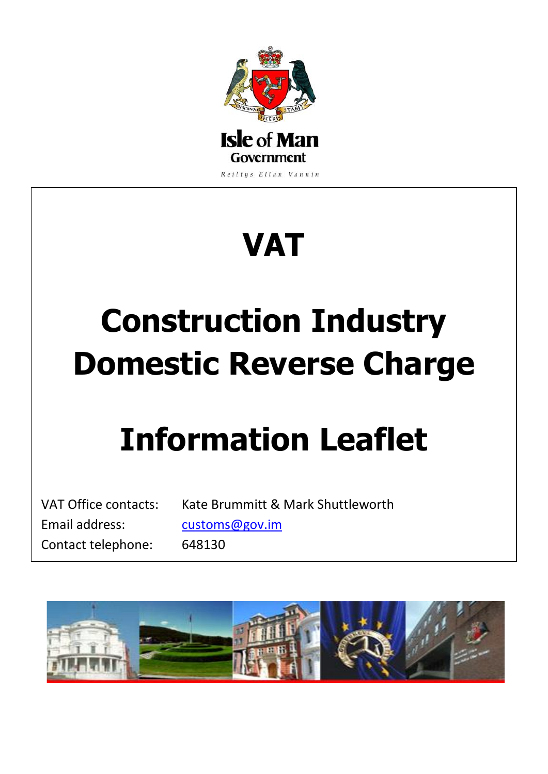

# **VAT**

# **Construction Industry Domestic Reverse Charge**

## **Information Leaflet**

Email address: [customs@gov.im](mailto:customs@gov.im) Contact telephone: 648130

VAT Office contacts: Kate Brummitt & Mark Shuttleworth

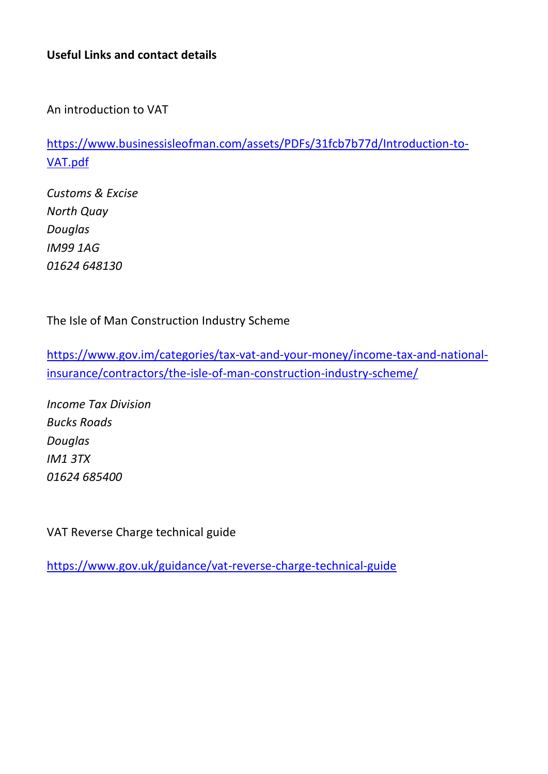#### **Useful Links and contact details**

An introduction to VAT

[https://www.businessisleofman.com/assets/PDFs/31fcb7b77d/Introduction-to-](https://www.businessisleofman.com/assets/PDFs/31fcb7b77d/Introduction-to-VAT.pdf)[VAT.pdf](https://www.businessisleofman.com/assets/PDFs/31fcb7b77d/Introduction-to-VAT.pdf)

*Customs & Excise North Quay Douglas IM99 1AG 01624 648130*

The Isle of Man Construction Industry Scheme

[https://www.gov.im/categories/tax-vat-and-your-money/income-tax-and-national](https://www.gov.im/categories/tax-vat-and-your-money/income-tax-and-national-insurance/contractors/the-isle-of-man-construction-industry-scheme/)[insurance/contractors/the-isle-of-man-construction-industry-scheme/](https://www.gov.im/categories/tax-vat-and-your-money/income-tax-and-national-insurance/contractors/the-isle-of-man-construction-industry-scheme/)

*Income Tax Division Bucks Roads Douglas IM1 3TX 01624 685400*

VAT Reverse Charge technical guide

<https://www.gov.uk/guidance/vat-reverse-charge-technical-guide>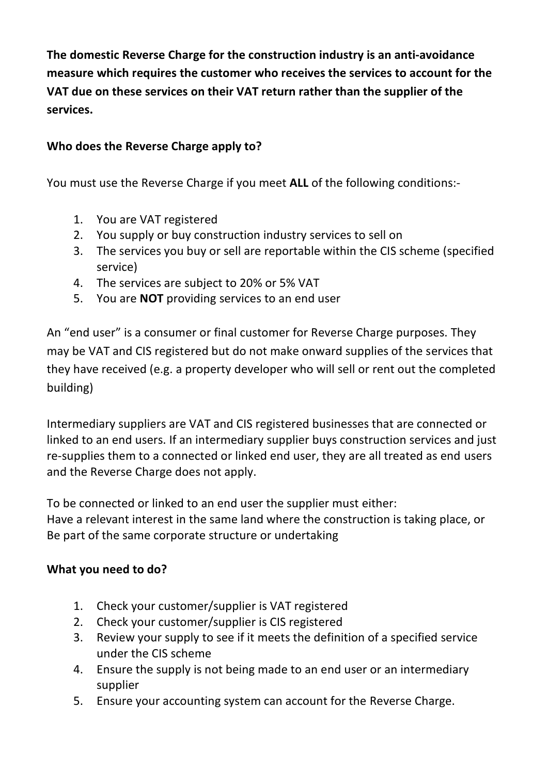**The domestic Reverse Charge for the construction industry is an anti-avoidance measure which requires the customer who receives the services to account for the VAT due on these services on their VAT return rather than the supplier of the services.**

### **Who does the Reverse Charge apply to?**

You must use the Reverse Charge if you meet **ALL** of the following conditions:-

- 1. You are VAT registered
- 2. You supply or buy construction industry services to sell on
- 3. The services you buy or sell are reportable within the CIS scheme (specified service)
- 4. The services are subject to 20% or 5% VAT
- 5. You are **NOT** providing services to an end user

An "end user" is a consumer or final customer for Reverse Charge purposes. They may be VAT and CIS registered but do not make onward supplies of the services that they have received (e.g. a property developer who will sell or rent out the completed building)

Intermediary suppliers are VAT and CIS registered businesses that are connected or linked to an end users. If an intermediary supplier buys construction services and just re-supplies them to a connected or linked end user, they are all treated as end users and the Reverse Charge does not apply.

To be connected or linked to an end user the supplier must either: Have a relevant interest in the same land where the construction is taking place, or Be part of the same corporate structure or undertaking

### **What you need to do?**

- 1. Check your customer/supplier is VAT registered
- 2. Check your customer/supplier is CIS registered
- 3. Review your supply to see if it meets the definition of a specified service under the CIS scheme
- 4. Ensure the supply is not being made to an end user or an intermediary supplier
- 5. Ensure your accounting system can account for the Reverse Charge.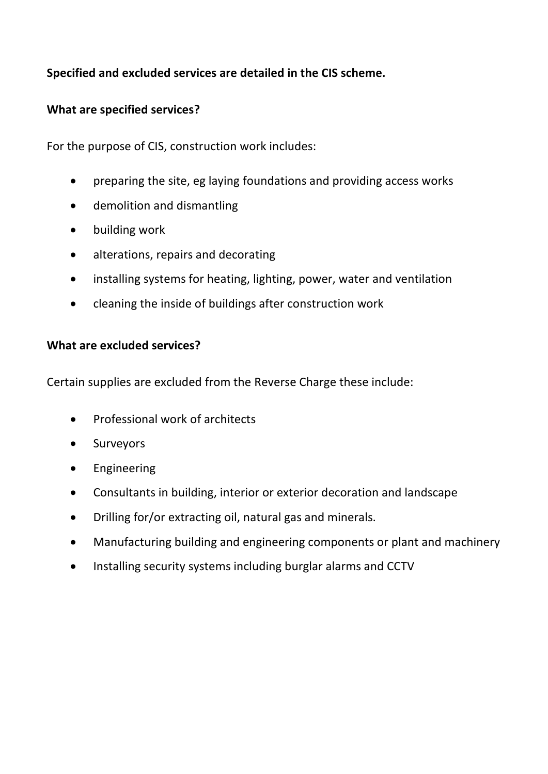## **Specified and excluded services are detailed in the CIS scheme.**

#### **What are specified services?**

For the purpose of CIS, construction work includes:

- preparing the site, eg laying foundations and providing access works
- demolition and dismantling
- building work
- alterations, repairs and decorating
- installing systems for heating, lighting, power, water and ventilation
- cleaning the inside of buildings after construction work

#### **What are excluded services?**

Certain supplies are excluded from the Reverse Charge these include:

- Professional work of architects
- Surveyors
- **•** Engineering
- Consultants in building, interior or exterior decoration and landscape
- Drilling for/or extracting oil, natural gas and minerals.
- Manufacturing building and engineering components or plant and machinery
- Installing security systems including burglar alarms and CCTV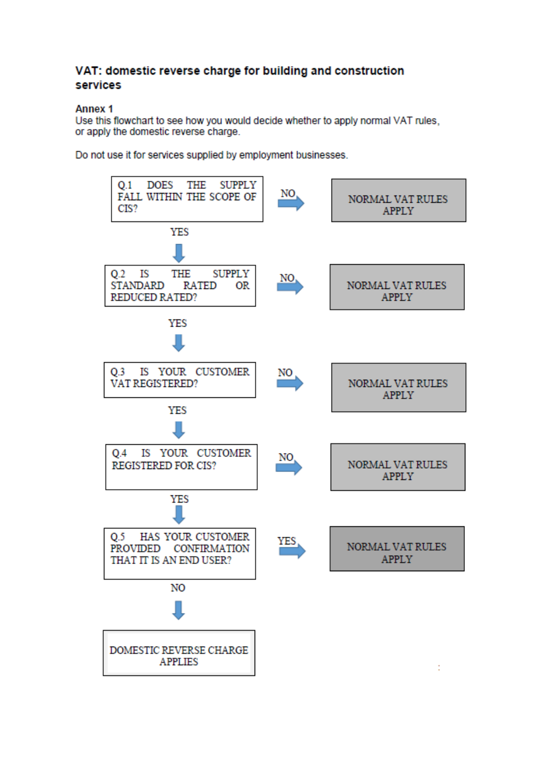#### VAT: domestic reverse charge for building and construction services

#### **Annex 1**

Use this flowchart to see how you would decide whether to apply normal VAT rules, or apply the domestic reverse charge.

Do not use it for services supplied by employment businesses.

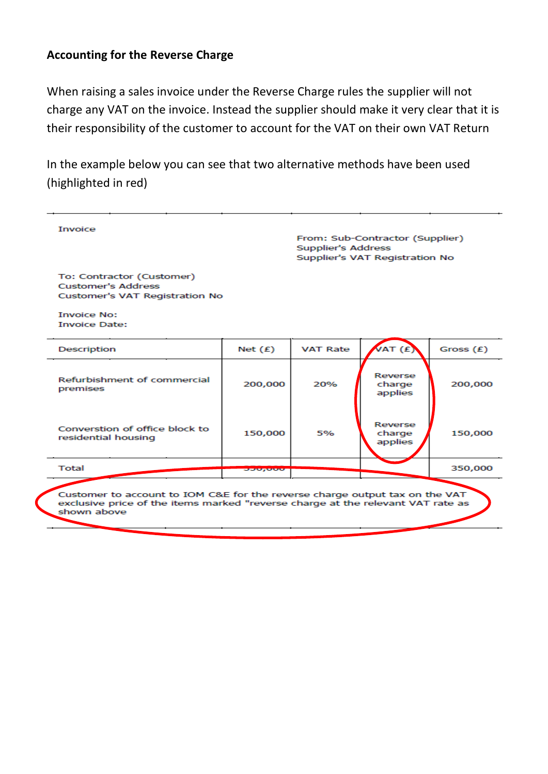#### **Accounting for the Reverse Charge**

When raising a sales invoice under the Reverse Charge rules the supplier will not charge any VAT on the invoice. Instead the supplier should make it very clear that it is their responsibility of the customer to account for the VAT on their own VAT Return

In the example below you can see that two alternative methods have been used (highlighted in red)

|                                                                                                                                                                               |                  | From: Sub-Contractor (Supplier)<br>Supplier's Address<br>Supplier's VAT Registration No |                              |             |
|-------------------------------------------------------------------------------------------------------------------------------------------------------------------------------|------------------|-----------------------------------------------------------------------------------------|------------------------------|-------------|
| To: Contractor (Customer)<br><b>Customer's Address</b><br>Customer's VAT Registration No                                                                                      |                  |                                                                                         |                              |             |
| <b>Invoice No:</b><br><b>Invoice Date:</b>                                                                                                                                    |                  |                                                                                         |                              |             |
| Description                                                                                                                                                                   | Net $(E)$        | <b>VAT Rate</b>                                                                         | VAT (£                       | Gross $(E)$ |
| Refurbishment of commercial<br>premises                                                                                                                                       | 200,000          | 20%                                                                                     | Reverse<br>charge<br>applies | 200,000     |
| Converstion of office block to<br>residential housing                                                                                                                         | 150,000          | 5%                                                                                      | Reverse<br>charge<br>applies | 150,000     |
| Total                                                                                                                                                                         | <b>DOM: ONLY</b> |                                                                                         |                              | 350,000     |
| Customer to account to IOM C&E for the reverse charge output tax on the VAT<br>exclusive price of the items marked "reverse charge at the relevant VAT rate as<br>shown above |                  |                                                                                         |                              |             |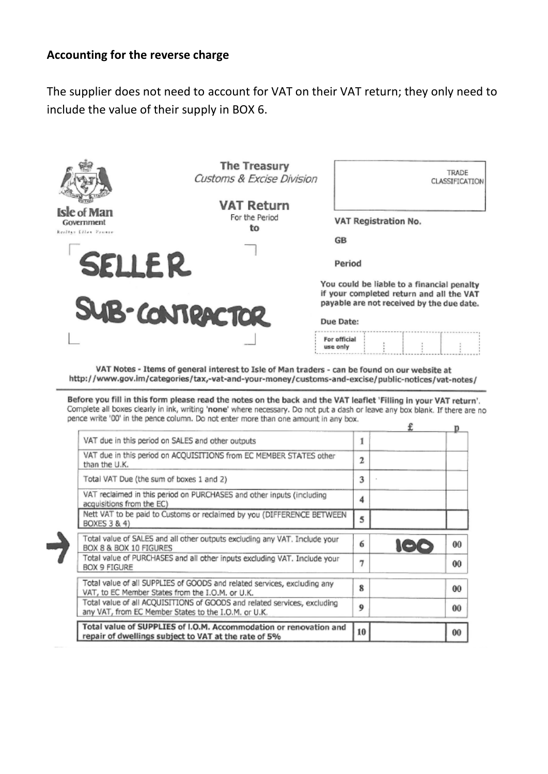#### **Accounting for the reverse charge**

The supplier does not need to account for VAT on their VAT return; they only need to include the value of their supply in BOX 6.



VAT Notes - Items of general interest to Isle of Man traders - can be found on our website at http://www.gov.im/categories/tax,-vat-and-your-money/customs-and-excise/public-notices/vat-notes/

Before you fill in this form please read the notes on the back and the VAT leaflet 'Filling in your VAT return'. Complete all boxes clearly in ink, writing 'none' where necessary. Do not put a dash or leave any box blank. If there are no pence write '00' in the pence column. Do not enter more than one amount in any box.  $\mathbf{r}$  $\overline{a}$ 

| VAT due in this period on SALES and other outputs                                                                                | 1              |     |                |
|----------------------------------------------------------------------------------------------------------------------------------|----------------|-----|----------------|
| VAT due in this period on ACOUISITIONS from EC MEMBER STATES other<br>than the U.K.                                              | $\overline{2}$ |     |                |
| Total VAT Due (the sum of boxes 1 and 2)                                                                                         |                |     |                |
| VAT reclaimed in this period on PURCHASES and other inputs (including<br>acquisitions from the EC)                               | 4              |     |                |
| Nett VAT to be paid to Customs or reclaimed by you (DIFFERENCE BETWEEN<br>BOXES 3 & 4)                                           | 5              |     |                |
| Total value of SALES and all other outputs excluding any VAT. Include your<br>BOX 8 & BOX 10 FIGURES                             | 6              | 106 | 0 <sub>0</sub> |
| Total value of PURCHASES and all other inputs excluding VAT, Include your<br>BOX 9 FIGURE                                        | 7              |     | 00             |
| Total value of all SUPPLIES of GOODS and related services, excluding any<br>VAT, to EC Member States from the I.O.M. or U.K.     | 8              |     | 00             |
| Total value of all ACQUISITIONS of GOODS and related services, excluding<br>any VAT, from EC Member States to the I.O.M. or U.K. | 9              |     | 00             |
| Total value of SUPPLIES of I.O.M. Accommodation or renovation and<br>repair of dwellings subject to VAT at the rate of 5%        | 10             |     | 00             |